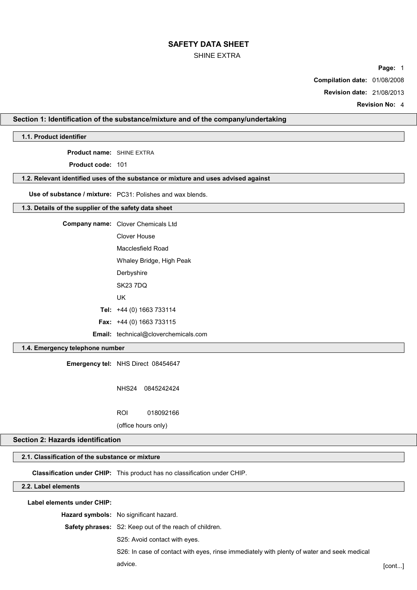### SHINE EXTRA

**Page:** 1

**Compilation date:** 01/08/2008

**Revision date:** 21/08/2013

**Revision No:** 4

## **Section 1: Identification of the substance/mixture and of the company/undertaking**

## **1.1. Product identifier**

**Product name:** SHINE EXTRA

**Product code:** 101

## **1.2. Relevant identified uses of the substance or mixture and uses advised against**

**Use of substance / mixture:** PC31: Polishes and wax blends.

#### **1.3. Details of the supplier of the safety data sheet**

**Company name:** Clover Chemicals Ltd Clover House Macclesfield Road Whaley Bridge, High Peak **Derbyshire** SK23 7DQ UK **Tel:** +44 (0) 1663 733114 **Fax:** +44 (0) 1663 733115

**Email:** technical@cloverchemicals.com

#### **1.4. Emergency telephone number**

**Emergency tel:** NHS Direct 08454647

NHS24 0845242424

ROI 018092166

(office hours only)

#### **Section 2: Hazards identification**

## **2.1. Classification of the substance or mixture**

**Classification under CHIP:** This product has no classification under CHIP.

## **2.2. Label elements**

**Label elements under CHIP:**

**Hazard symbols:** No significant hazard.

**Safety phrases:** S2: Keep out of the reach of children.

S25: Avoid contact with eyes.

S26: In case of contact with eyes, rinse immediately with plenty of water and seek medical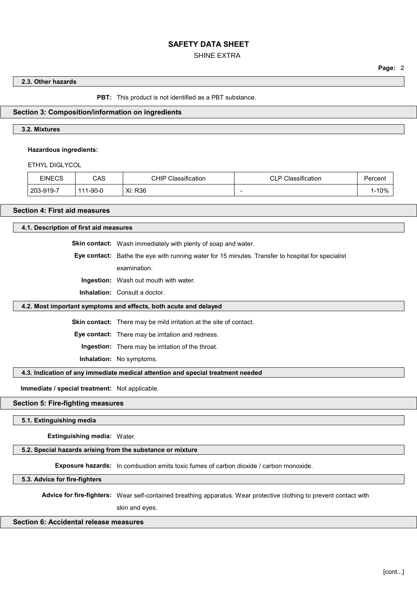## SHINE EXTRA

**Page:** 2

#### **2.3. Other hazards**

**PBT:** This product is not identified as a PBT substance.

#### **Section 3: Composition/information on ingredients**

#### **3.2. Mixtures**

#### **Hazardous ingredients:**

ETHYL DIGLYCOL

| <b>EINECS</b> | CAS           | CHIP<br>Classification | Classification | Percent |
|---------------|---------------|------------------------|----------------|---------|
| 203-919-7     | 1-90-0<br>444 | Xi: R36                | $\sim$         | 10%     |

## **Section 4: First aid measures**

**4.1. Description of first aid measures**

**Skin contact:** Wash immediately with plenty of soap and water.

**Eye contact:** Bathe the eye with running water for 15 minutes. Transfer to hospital for specialist

examination.

**Ingestion:** Wash out mouth with water.

**Inhalation:** Consult a doctor.

#### **4.2. Most important symptoms and effects, both acute and delayed**

**Skin contact:** There may be mild irritation at the site of contact.

**Eye contact:** There may be irritation and redness.

**Ingestion:** There may be irritation of the throat.

**Inhalation:** No symptoms.

**4.3. Indication of any immediate medical attention and special treatment needed**

**Immediate / special treatment:** Not applicable.

#### **Section 5: Fire-fighting measures**

**5.1. Extinguishing media**

**Extinguishing media:** Water.

#### **5.2. Special hazards arising from the substance or mixture**

**Exposure hazards:** In combustion emits toxic fumes of carbon dioxide / carbon monoxide.

**5.3. Advice for fire-fighters**

**Advice for fire-fighters:** Wear self-contained breathing apparatus. Wear protective clothing to prevent contact with

skin and eyes.

## **Section 6: Accidental release measures**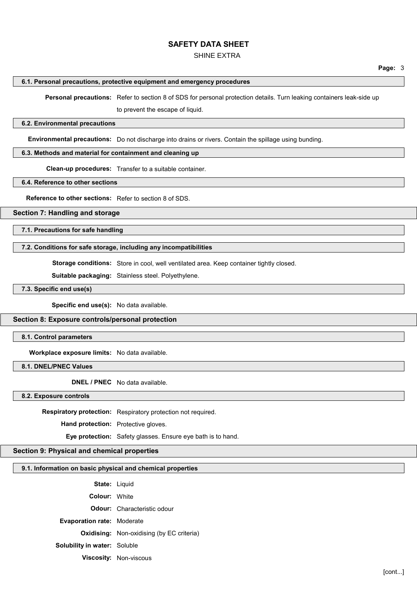#### SHINE EXTRA

#### **6.1. Personal precautions, protective equipment and emergency procedures**

**Personal precautions:** Refer to section 8 of SDS for personal protection details. Turn leaking containers leak-side up

to prevent the escape of liquid.

#### **6.2. Environmental precautions**

**Environmental precautions:** Do not discharge into drains or rivers. Contain the spillage using bunding.

#### **6.3. Methods and material for containment and cleaning up**

**Clean-up procedures:** Transfer to a suitable container.

#### **6.4. Reference to other sections**

**Reference to other sections:** Refer to section 8 of SDS.

## **Section 7: Handling and storage**

**7.1. Precautions for safe handling**

#### **7.2. Conditions for safe storage, including any incompatibilities**

**Storage conditions:** Store in cool, well ventilated area. Keep container tightly closed.

**Suitable packaging:** Stainless steel. Polyethylene.

**7.3. Specific end use(s)**

**Specific end use(s):** No data available.

#### **Section 8: Exposure controls/personal protection**

**8.1. Control parameters**

**Workplace exposure limits:** No data available.

**8.1. DNEL/PNEC Values**

**DNEL / PNEC** No data available.

#### **8.2. Exposure controls**

**Respiratory protection:** Respiratory protection not required.

**Hand protection:** Protective gloves.

**Eye protection:** Safety glasses. Ensure eye bath is to hand.

#### **Section 9: Physical and chemical properties**

#### **9.1. Information on basic physical and chemical properties**

**State:** Liquid

**Colour:** White

**Odour:** Characteristic odour

**Evaporation rate:** Moderate

**Oxidising:** Non-oxidising (by EC criteria)

**Solubility in water:** Soluble

**Viscosity:** Non-viscous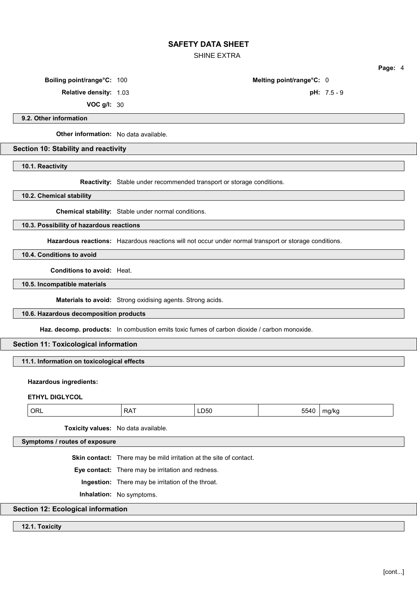SHINE EXTRA

**Page:** 4

**Boiling point/range°C:** 100 **Melting point/range°C:** 0

**Relative density:** 1.03 **pH:** 7.5 - 9

**VOC g/l:** 30

**9.2. Other information**

**Other information:** No data available.

## **Section 10: Stability and reactivity**

**10.1. Reactivity**

**Reactivity:** Stable under recommended transport or storage conditions.

**10.2. Chemical stability**

**Chemical stability:** Stable under normal conditions.

**10.3. Possibility of hazardous reactions**

**Hazardous reactions:** Hazardous reactions will not occur under normal transport or storage conditions.

**10.4. Conditions to avoid**

**Conditions to avoid:** Heat.

**10.5. Incompatible materials**

**Materials to avoid:** Strong oxidising agents. Strong acids.

**10.6. Hazardous decomposition products**

**Haz. decomp. products:** In combustion emits toxic fumes of carbon dioxide / carbon monoxide.

## **Section 11: Toxicological information**

**11.1. Information on toxicological effects**

## **Hazardous ingredients:**

**ETHYL DIGLYCOL**

| אנ<br>. .<br>טעי<br>. .<br>$ -$ |  | . . |  |
|---------------------------------|--|-----|--|
|---------------------------------|--|-----|--|

**Toxicity values:** No data available.

**Symptoms / routes of exposure**

**Skin contact:** There may be mild irritation at the site of contact.

**Eye contact:** There may be irritation and redness.

**Ingestion:** There may be irritation of the throat.

**Inhalation:** No symptoms.

## **Section 12: Ecological information**

**12.1. Toxicity**

[cont...]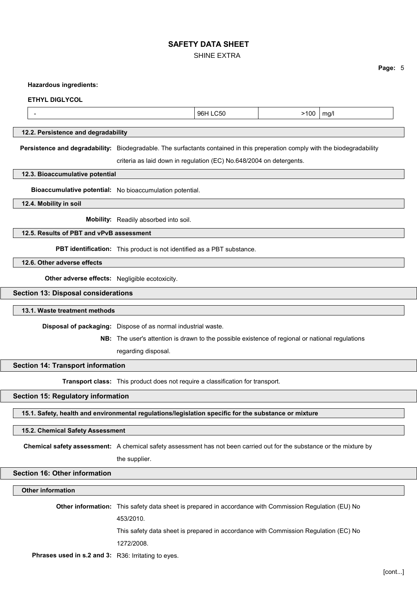SHINE EXTRA

**Page:** 5

#### **Hazardous ingredients:**

#### **ETHYL DIGLYCOL**

| 96<br>ma/h<br>ור:<br>$\overline{\mathbf{u}}$<br>.<br>. . |
|----------------------------------------------------------|
|----------------------------------------------------------|

#### **12.2. Persistence and degradability**

**Persistence and degradability:** Biodegradable. The surfactants contained in this preperation comply with the biodegradability criteria as laid down in regulation (EC) No.648/2004 on detergents.

#### **12.3. Bioaccumulative potential**

**Bioaccumulative potential:** No bioaccumulation potential.

#### **12.4. Mobility in soil**

**Mobility:** Readily absorbed into soil.

## **12.5. Results of PBT and vPvB assessment**

**PBT identification:** This product is not identified as a PBT substance.

**12.6. Other adverse effects**

**Other adverse effects:** Negligible ecotoxicity.

#### **Section 13: Disposal considerations**

#### **13.1. Waste treatment methods**

**Disposal of packaging:** Dispose of as normal industrial waste.

**NB:** The user's attention is drawn to the possible existence of regional or national regulations

regarding disposal.

#### **Section 14: Transport information**

**Transport class:** This product does not require a classification for transport.

### **Section 15: Regulatory information**

**15.1. Safety, health and environmental regulations/legislation specific for the substance or mixture**

#### **15.2. Chemical Safety Assessment**

**Chemical safety assessment:** A chemical safety assessment has not been carried out for the substance or the mixture by

the supplier.

## **Section 16: Other information**

## **Other information**

**Other information:** This safety data sheet is prepared in accordance with Commission Regulation (EU) No 453/2010. This safety data sheet is prepared in accordance with Commission Regulation (EC) No 1272/2008.

**Phrases used in s.2 and 3:** R36: Irritating to eyes.